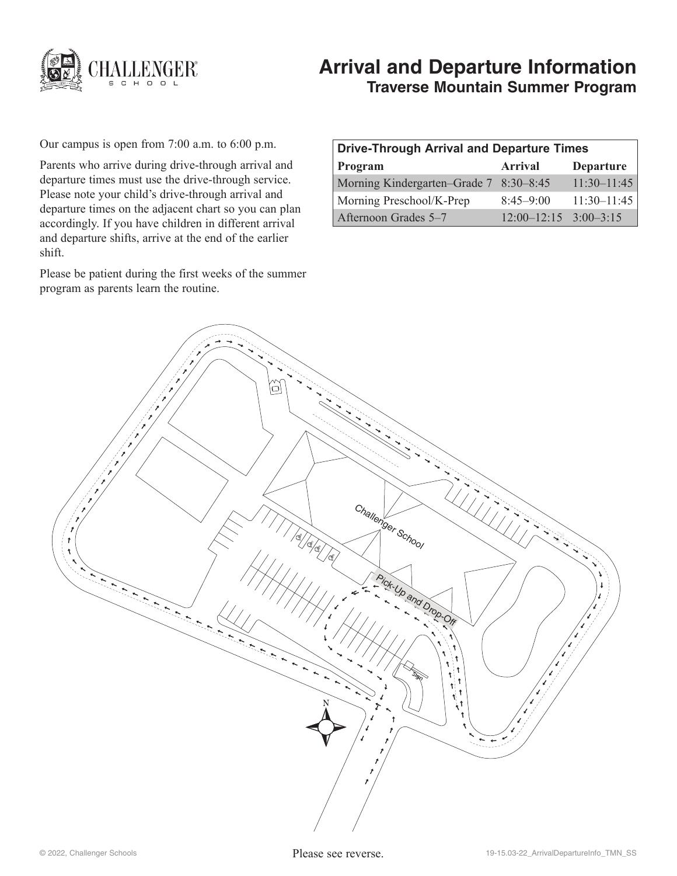

# **Arrival and Departure Information Traverse Mountain Summer Program**

Our campus is open from 7:00 a.m. to 6:00 p.m.

Parents who arrive during drive-through arrival and departure times must use the drive-through service. Please note your child's drive-through arrival and departure times on the adjacent chart so you can plan accordingly. If you have children in different arrival and departure shifts, arrive at the end of the earlier shift.

Please be patient during the first weeks of the summer program as parents learn the routine.

| <b>Drive-Through Arrival and Departure Times</b> |                           |                  |
|--------------------------------------------------|---------------------------|------------------|
| Program                                          | Arrival                   | <b>Departure</b> |
| Morning Kindergarten–Grade 7 8:30–8:45           |                           | $11:30-11:45$    |
| Morning Preschool/K-Prep                         | $8:45-9:00$               | $11:30-11:45$    |
| Afternoon Grades 5–7                             | $12:00-12:15$ $3:00-3:15$ |                  |